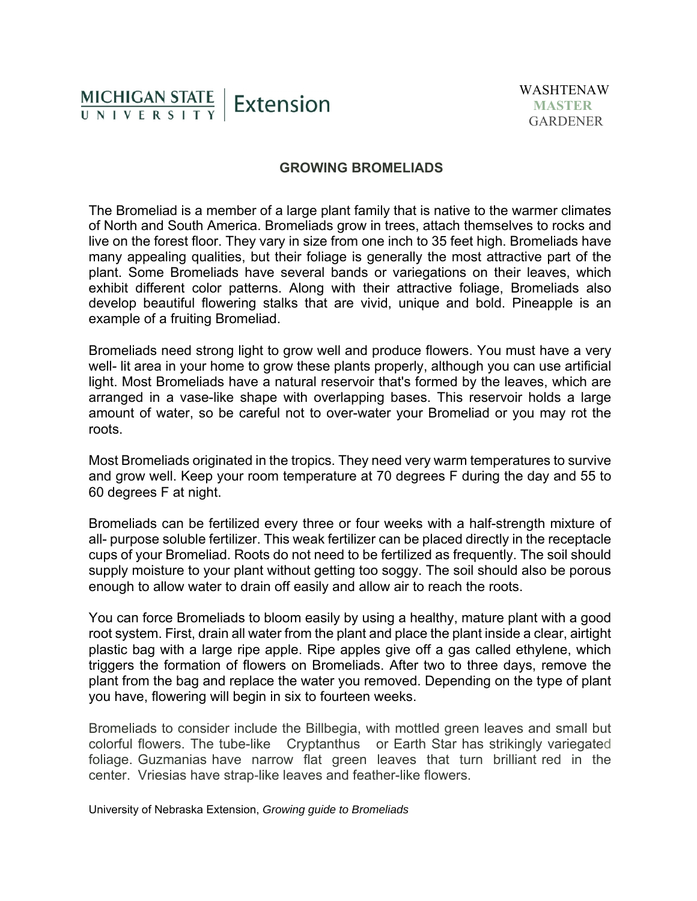## MICHIGAN STATE | Extension UNIVERSITY

## **GROWING BROMELIADS**

The Bromeliad is a member of a large plant family that is native to the warmer climates of North and South America. Bromeliads grow in trees, attach themselves to rocks and live on the forest floor. They vary in size from one inch to 35 feet high. Bromeliads have many appealing qualities, but their foliage is generally the most attractive part of the plant. Some Bromeliads have several bands or variegations on their leaves, which exhibit different color patterns. Along with their attractive foliage, Bromeliads also develop beautiful flowering stalks that are vivid, unique and bold. Pineapple is an example of a fruiting Bromeliad.

Bromeliads need strong light to grow well and produce flowers. You must have a very well- lit area in your home to grow these plants properly, although you can use artificial light. Most Bromeliads have a natural reservoir that's formed by the leaves, which are arranged in a vase-like shape with overlapping bases. This reservoir holds a large amount of water, so be careful not to over-water your Bromeliad or you may rot the roots.

Most Bromeliads originated in the tropics. They need very warm temperatures to survive and grow well. Keep your room temperature at 70 degrees F during the day and 55 to 60 degrees F at night.

Bromeliads can be fertilized every three or four weeks with a half-strength mixture of all- purpose soluble fertilizer. This weak fertilizer can be placed directly in the receptacle cups of your Bromeliad. Roots do not need to be fertilized as frequently. The soil should supply moisture to your plant without getting too soggy. The soil should also be porous enough to allow water to drain off easily and allow air to reach the roots.

You can force Bromeliads to bloom easily by using a healthy, mature plant with a good root system. First, drain all water from the plant and place the plant inside a clear, airtight plastic bag with a large ripe apple. Ripe apples give off a gas called ethylene, which triggers the formation of flowers on Bromeliads. After two to three days, remove the plant from the bag and replace the water you removed. Depending on the type of plant you have, flowering will begin in six to fourteen weeks.

Bromeliads to consider include the Billbegia, with mottled green leaves and small but colorful flowers. The tube-like Cryptanthus or Earth Star has strikingly variegated foliage. Guzmanias have narrow flat green leaves that turn brilliant red in the center. Vriesias have strap-like leaves and feather-like flowers.

University of Nebraska Extension, *Growing guide to Bromeliads*